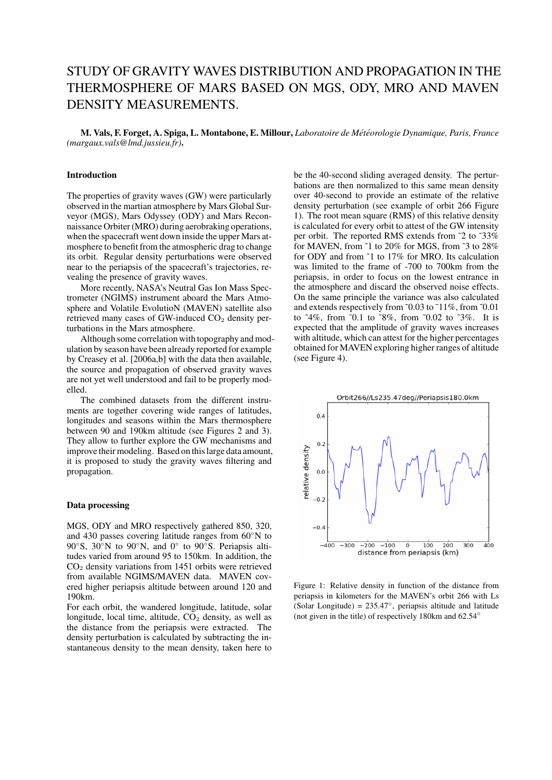# STUDY OF GRAVITY WAVES DISTRIBUTION AND PROPAGATION IN THE THERMOSPHERE OF MARS BASED ON MGS, ODY, MRO AND MAVEN DENSITY MEASUREMENTS.

M. Vals, F. Forget, A. Spiga, L. Montabone, E. Millour, *Laboratoire de Met´ eorologie Dynamique, Paris, France ´ (margaux.vals@lmd.jussieu.fr)*.

## Introduction

The properties of gravity waves (GW) were particularly observed in the martian atmosphere by Mars Global Surveyor (MGS), Mars Odyssey (ODY) and Mars Reconnaissance Orbiter (MRO) during aerobraking operations, when the spacecraft went down inside the upper Mars atmosphere to benefit from the atmospheric drag to change its orbit. Regular density perturbations were observed near to the periapsis of the spacecraft's trajectories, revealing the presence of gravity waves.

More recently, NASA's Neutral Gas Ion Mass Spectrometer (NGIMS) instrument aboard the Mars Atmosphere and Volatile EvolutioN (MAVEN) satellite also retrieved many cases of GW-induced  $CO<sub>2</sub>$  density perturbations in the Mars atmosphere.

Although some correlation with topography and modulation by season have been already reported for example by Creasey et al. [2006a,b] with the data then available, the source and propagation of observed gravity waves are not yet well understood and fail to be properly modelled.

The combined datasets from the different instruments are together covering wide ranges of latitudes, longitudes and seasons within the Mars thermosphere between 90 and 190km altitude (see Figures 2 and 3). They allow to further explore the GW mechanisms and improve their modeling. Based on this large data amount, it is proposed to study the gravity waves filtering and propagation.

#### Data processing

MGS, ODY and MRO respectively gathered 850, 320, and 430 passes covering latitude ranges from 60◦N to 90°S, 30°N to 90°N, and 0° to 90°S. Periapsis altitudes varied from around 95 to 150km. In addition, the CO<sup>2</sup> density variations from 1451 orbits were retrieved from available NGIMS/MAVEN data. MAVEN covered higher periapsis altitude between around 120 and 190km.

For each orbit, the wandered longitude, latitude, solar longitude, local time, altitude,  $CO<sub>2</sub>$  density, as well as the distance from the periapsis were extracted. The density perturbation is calculated by subtracting the instantaneous density to the mean density, taken here to be the 40-second sliding averaged density. The perturbations are then normalized to this same mean density over 40-second to provide an estimate of the relative density perturbation (see example of orbit 266 Figure 1). The root mean square (RMS) of this relative density is calculated for every orbit to attest of the GW intensity per orbit. The reported RMS extends from ˜2 to ˜33% for MAVEN, from ˜1 to 20% for MGS, from ˜3 to 28% for ODY and from ˜1 to 17% for MRO. Its calculation was limited to the frame of -700 to 700km from the periapsis, in order to focus on the lowest entrance in the atmosphere and discard the observed noise effects. On the same principle the variance was also calculated and extends respectively from ˜0.03 to ˜11%, from ˜0.01 to ˜4%, from ˜0.1 to ˜8%, from ˜0.02 to ˜3%. It is expected that the amplitude of gravity waves increases with altitude, which can attest for the higher percentages obtained for MAVEN exploring higher ranges of altitude (see Figure 4).



Figure 1: Relative density in function of the distance from periapsis in kilometers for the MAVEN's orbit 266 with Ls (Solar Longitude) = 235.47◦ , periapsis altitude and latitude (not given in the title) of respectively 180km and 62.54◦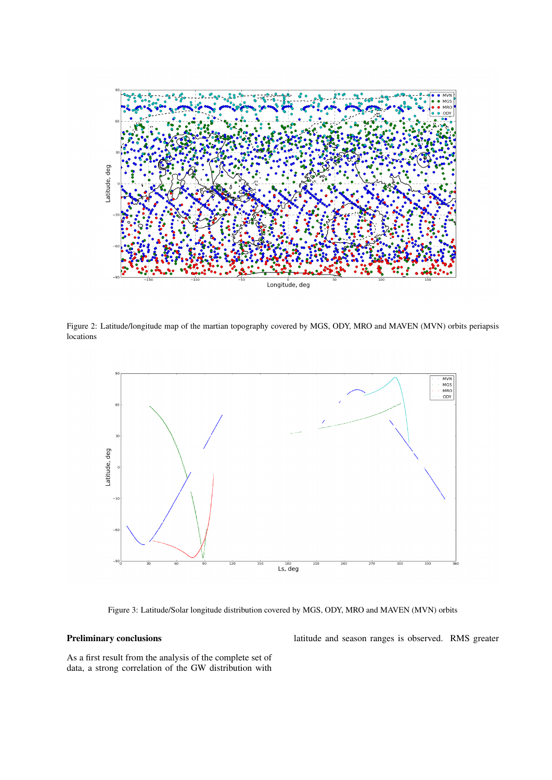

Figure 2: Latitude/longitude map of the martian topography covered by MGS, ODY, MRO and MAVEN (MVN) orbits periapsis locations



Figure 3: Latitude/Solar longitude distribution covered by MGS, ODY, MRO and MAVEN (MVN) orbits

## Preliminary conclusions

latitude and season ranges is observed. RMS greater

As a first result from the analysis of the complete set of data, a strong correlation of the GW distribution with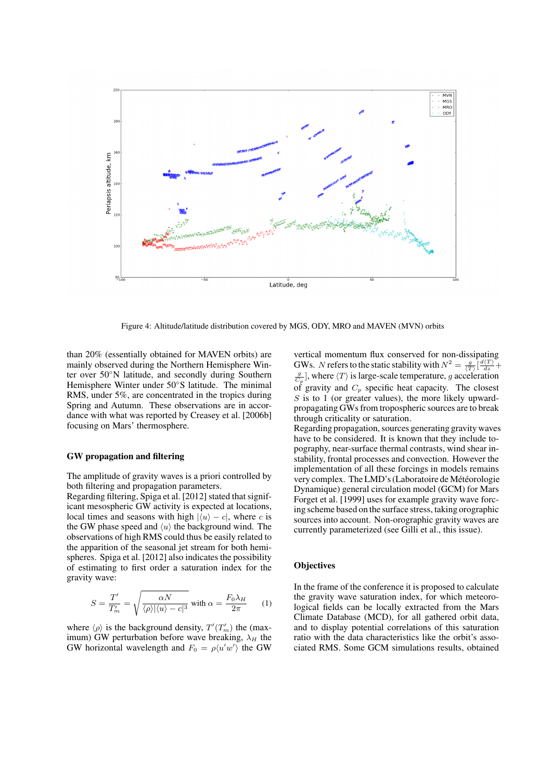

Figure 4: Altitude/latitude distribution covered by MGS, ODY, MRO and MAVEN (MVN) orbits

than 20% (essentially obtained for MAVEN orbits) are mainly observed during the Northern Hemisphere Winter over 50◦N latitude, and secondly during Southern Hemisphere Winter under 50◦S latitude. The minimal RMS, under 5%, are concentrated in the tropics during Spring and Autumn. These observations are in accordance with what was reported by Creasey et al. [2006b] focusing on Mars' thermosphere.

## GW propagation and filtering

The amplitude of gravity waves is a priori controlled by both filtering and propagation parameters.

Regarding filtering, Spiga et al. [2012] stated that significant mesospheric GW activity is expected at locations, local times and seasons with high  $|\langle u \rangle - c|$ , where c is the GW phase speed and  $\langle u \rangle$  the background wind. The observations of high RMS could thus be easily related to the apparition of the seasonal jet stream for both hemispheres. Spiga et al. [2012] also indicates the possibility of estimating to first order a saturation index for the gravity wave:

$$
S = \frac{T'}{T'_m} = \sqrt{\frac{\alpha N}{\langle \rho \rangle |\langle u \rangle - c|^3}} \text{ with } \alpha = \frac{F_0 \lambda_H}{2\pi} \qquad (1)
$$

where  $\langle \rho \rangle$  is the background density,  $T'(T'_m)$  the (maximum) GW perturbation before wave breaking,  $\lambda_H$  the GW horizontal wavelength and  $F_0 = \rho \langle u'w' \rangle$  the GW

vertical momentum flux conserved for non-dissipating GWs. N refers to the static stability with  $N^2 = \frac{g}{\langle T \rangle} \left[ \frac{d\langle T \rangle}{dz} + \right]$  $\frac{g}{C_p}$ , where  $\langle T \rangle$  is large-scale temperature, g acceleration of gravity and  $C_p$  specific heat capacity. The closest  $S$  is to 1 (or greater values), the more likely upwardpropagating GWs from tropospheric sources are to break through criticality or saturation.

Regarding propagation, sources generating gravity waves have to be considered. It is known that they include topography, near-surface thermal contrasts, wind shear instability, frontal processes and convection. However the implementation of all these forcings in models remains very complex. The LMD's (Laboratoire de Météorologie Dynamique) general circulation model (GCM) for Mars Forget et al. [1999] uses for example gravity wave forcing scheme based on the surface stress, taking orographic sources into account. Non-orographic gravity waves are currently parameterized (see Gilli et al., this issue).

## **Objectives**

In the frame of the conference it is proposed to calculate the gravity wave saturation index, for which meteorological fields can be locally extracted from the Mars Climate Database (MCD), for all gathered orbit data, and to display potential correlations of this saturation ratio with the data characteristics like the orbit's associated RMS. Some GCM simulations results, obtained